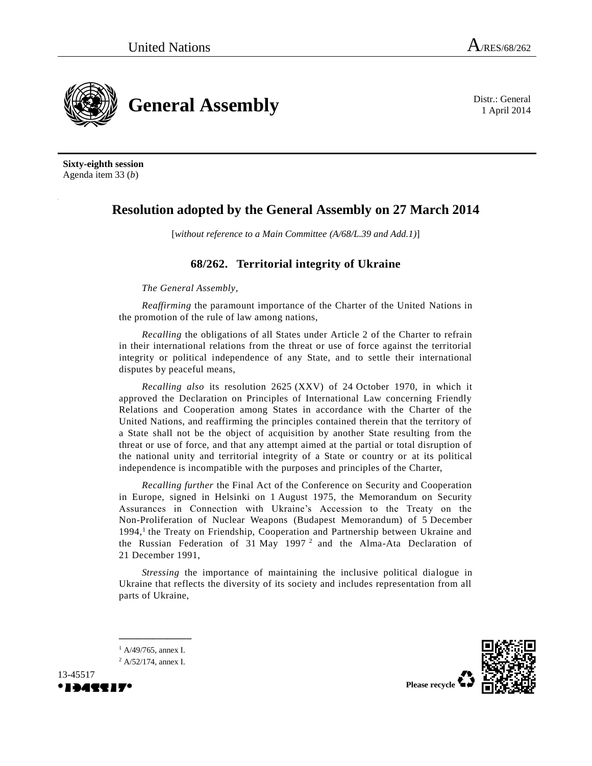1 April 2014



**Sixty-eighth session** Agenda item 33 (*b*)

## **Resolution adopted by the General Assembly on 27 March 2014**

[*without reference to a Main Committee (A/68/L.39 and Add.1)*]

## **68/262. Territorial integrity of Ukraine**

*The General Assembly*,

*Reaffirming* the paramount importance of the Charter of the United Nations in the promotion of the rule of law among nations,

*Recalling* the obligations of all States under Article 2 of the Charter to refrain in their international relations from the threat or use of force against the territorial integrity or political independence of any State, and to settle their international disputes by peaceful means,

*Recalling also* its resolution 2625 (XXV) of 24 October 1970, in which it approved the Declaration on Principles of International Law concerning Friendly Relations and Cooperation among States in accordance with the Charter of the United Nations, and reaffirming the principles contained therein that the territory of a State shall not be the object of acquisition by another State resulting from the threat or use of force, and that any attempt aimed at the partial or total disruption of the national unity and territorial integrity of a State or country or at its political independence is incompatible with the purposes and principles of the Charter,

*Recalling further* the Final Act of the Conference on Security and Cooperation in Europe, signed in Helsinki on 1 August 1975, the Memorandum on Security Assurances in Connection with Ukraine's Accession to the Treaty on the Non-Proliferation of Nuclear Weapons (Budapest Memorandum) of 5 December 1994,<sup>1</sup> the Treaty on Friendship, Cooperation and Partnership between Ukraine and the Russian Federation of 31 May 1997<sup>2</sup> and the Alma-Ata Declaration of 21 December 1991,

*Stressing* the importance of maintaining the inclusive political dialogue in Ukraine that reflects the diversity of its society and includes representation from all parts of Ukraine,

**\_\_\_\_\_\_\_\_\_\_\_\_\_\_\_**





**Please recycle**

 $1$  A/49/765, annex I.  $^{2}$  A/52/174, annex I.